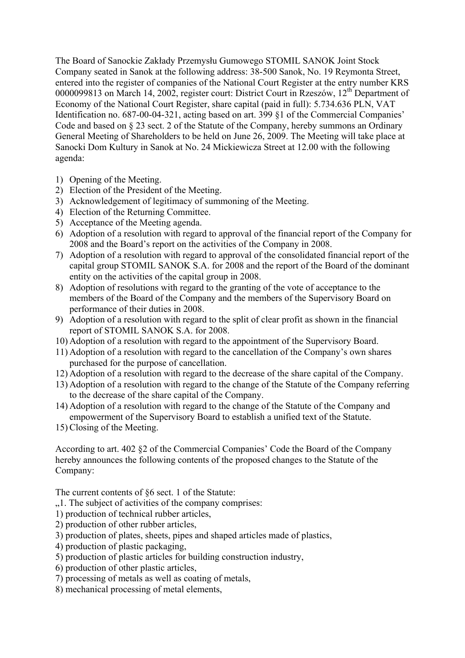The Board of Sanockie Zakłady Przemysłu Gumowego STOMIL SANOK Joint Stock Company seated in Sanok at the following address: 38-500 Sanok, No. 19 Reymonta Street, entered into the register of companies of the National Court Register at the entry number KRS 0000099813 on March 14, 2002, register court: District Court in Rzeszów, 12<sup>th</sup> Department of Economy of the National Court Register, share capital (paid in full): 5.734.636 PLN, VAT Identification no. 687-00-04-321, acting based on art. 399 §1 of the Commercial Companies' Code and based on § 23 sect. 2 of the Statute of the Company, hereby summons an Ordinary General Meeting of Shareholders to be held on June 26, 2009. The Meeting will take place at Sanocki Dom Kultury in Sanok at No. 24 Mickiewicza Street at 12.00 with the following agenda:

- 1) Opening of the Meeting.
- 2) Election of the President of the Meeting.
- 3) Acknowledgement of legitimacy of summoning of the Meeting.
- 4) Election of the Returning Committee.
- 5) Acceptance of the Meeting agenda.
- 6) Adoption of a resolution with regard to approval of the financial report of the Company for 2008 and the Board's report on the activities of the Company in 2008.
- 7) Adoption of a resolution with regard to approval of the consolidated financial report of the capital group STOMIL SANOK S.A. for 2008 and the report of the Board of the dominant entity on the activities of the capital group in 2008.
- 8) Adoption of resolutions with regard to the granting of the vote of acceptance to the members of the Board of the Company and the members of the Supervisory Board on performance of their duties in 2008.
- 9) Adoption of a resolution with regard to the split of clear profit as shown in the financial report of STOMIL SANOK S.A. for 2008.
- 10) Adoption of a resolution with regard to the appointment of the Supervisory Board.
- 11) Adoption of a resolution with regard to the cancellation of the Company's own shares purchased for the purpose of cancellation.
- 12) Adoption of a resolution with regard to the decrease of the share capital of the Company.
- 13) Adoption of a resolution with regard to the change of the Statute of the Company referring to the decrease of the share capital of the Company.
- 14) Adoption of a resolution with regard to the change of the Statute of the Company and empowerment of the Supervisory Board to establish a unified text of the Statute.
- 15) Closing of the Meeting.

According to art. 402 §2 of the Commercial Companies' Code the Board of the Company hereby announces the following contents of the proposed changes to the Statute of the Company:

The current contents of §6 sect. 1 of the Statute:

- ...1. The subject of activities of the company comprises:
- 1) production of technical rubber articles,
- 2) production of other rubber articles,
- 3) production of plates, sheets, pipes and shaped articles made of plastics,
- 4) production of plastic packaging,
- 5) production of plastic articles for building construction industry,
- 6) production of other plastic articles,
- 7) processing of metals as well as coating of metals,
- 8) mechanical processing of metal elements,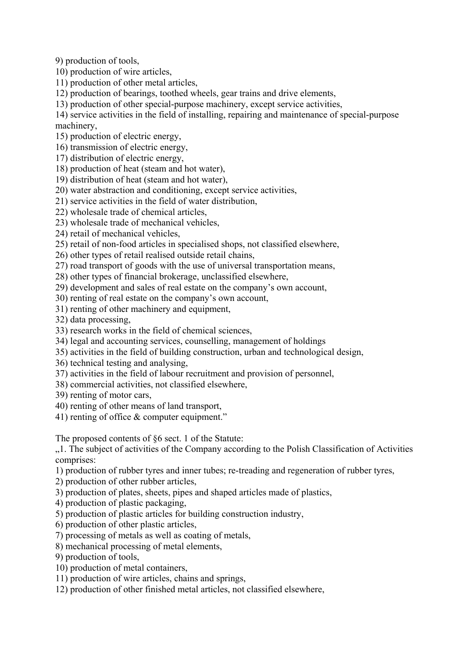9) production of tools,

- 10) production of wire articles,
- 11) production of other metal articles,
- 12) production of bearings, toothed wheels, gear trains and drive elements,
- 13) production of other special-purpose machinery, except service activities,

14) service activities in the field of installing, repairing and maintenance of special-purpose machinery,

- 15) production of electric energy,
- 16) transmission of electric energy,
- 17) distribution of electric energy,
- 18) production of heat (steam and hot water),
- 19) distribution of heat (steam and hot water),
- 20) water abstraction and conditioning, except service activities,
- 21) service activities in the field of water distribution,
- 22) wholesale trade of chemical articles,
- 23) wholesale trade of mechanical vehicles,
- 24) retail of mechanical vehicles,
- 25) retail of non-food articles in specialised shops, not classified elsewhere,
- 26) other types of retail realised outside retail chains,
- 27) road transport of goods with the use of universal transportation means,
- 28) other types of financial brokerage, unclassified elsewhere,
- 29) development and sales of real estate on the company's own account,
- 30) renting of real estate on the company's own account,
- 31) renting of other machinery and equipment,
- 32) data processing,
- 33) research works in the field of chemical sciences,
- 34) legal and accounting services, counselling, management of holdings
- 35) activities in the field of building construction, urban and technological design,
- 36) technical testing and analysing,
- 37) activities in the field of labour recruitment and provision of personnel,
- 38) commercial activities, not classified elsewhere,
- 39) renting of motor cars,
- 40) renting of other means of land transport,
- 41) renting of office & computer equipment."

The proposed contents of §6 sect. 1 of the Statute:

"1. The subject of activities of the Company according to the Polish Classification of Activities comprises:

- 1) production of rubber tyres and inner tubes; re-treading and regeneration of rubber tyres,
- 2) production of other rubber articles,
- 3) production of plates, sheets, pipes and shaped articles made of plastics,
- 4) production of plastic packaging,
- 5) production of plastic articles for building construction industry,
- 6) production of other plastic articles,
- 7) processing of metals as well as coating of metals,
- 8) mechanical processing of metal elements,
- 9) production of tools,
- 10) production of metal containers,
- 11) production of wire articles, chains and springs,
- 12) production of other finished metal articles, not classified elsewhere,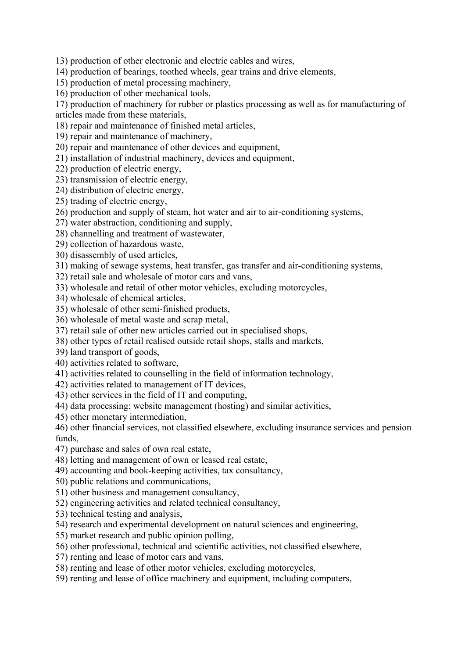13) production of other electronic and electric cables and wires,

- 14) production of bearings, toothed wheels, gear trains and drive elements,
- 15) production of metal processing machinery,
- 16) production of other mechanical tools,

17) production of machinery for rubber or plastics processing as well as for manufacturing of articles made from these materials,

- 18) repair and maintenance of finished metal articles,
- 19) repair and maintenance of machinery,
- 20) repair and maintenance of other devices and equipment,
- 21) installation of industrial machinery, devices and equipment,
- 22) production of electric energy,
- 23) transmission of electric energy,
- 24) distribution of electric energy,
- 25) trading of electric energy,
- 26) production and supply of steam, hot water and air to air-conditioning systems,
- 27) water abstraction, conditioning and supply,
- 28) channelling and treatment of wastewater,
- 29) collection of hazardous waste,
- 30) disassembly of used articles,
- 31) making of sewage systems, heat transfer, gas transfer and air-conditioning systems,
- 32) retail sale and wholesale of motor cars and vans,
- 33) wholesale and retail of other motor vehicles, excluding motorcycles,
- 34) wholesale of chemical articles,
- 35) wholesale of other semi-finished products,
- 36) wholesale of metal waste and scrap metal,
- 37) retail sale of other new articles carried out in specialised shops,
- 38) other types of retail realised outside retail shops, stalls and markets,
- 39) land transport of goods,
- 40) activities related to software,
- 41) activities related to counselling in the field of information technology,
- 42) activities related to management of IT devices,
- 43) other services in the field of IT and computing,
- 44) data processing; website management (hosting) and similar activities,
- 45) other monetary intermediation,

46) other financial services, not classified elsewhere, excluding insurance services and pension funds,

- 47) purchase and sales of own real estate,
- 48) letting and management of own or leased real estate,
- 49) accounting and book-keeping activities, tax consultancy,
- 50) public relations and communications,
- 51) other business and management consultancy,
- 52) engineering activities and related technical consultancy,
- 53) technical testing and analysis,
- 54) research and experimental development on natural sciences and engineering,
- 55) market research and public opinion polling,
- 56) other professional, technical and scientific activities, not classified elsewhere,
- 57) renting and lease of motor cars and vans,
- 58) renting and lease of other motor vehicles, excluding motorcycles,
- 59) renting and lease of office machinery and equipment, including computers,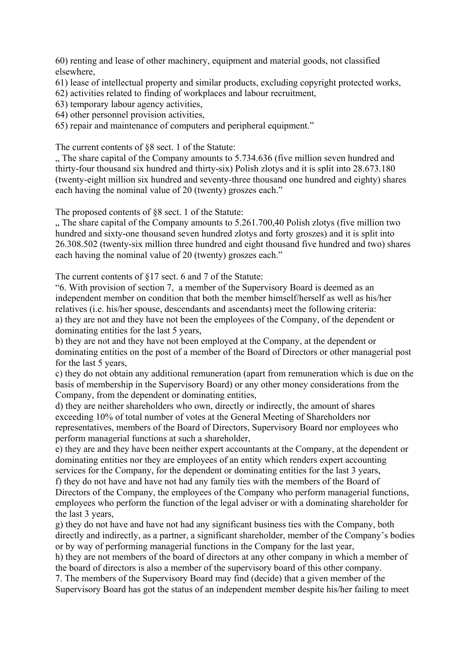60) renting and lease of other machinery, equipment and material goods, not classified elsewhere,

61) lease of intellectual property and similar products, excluding copyright protected works,

62) activities related to finding of workplaces and labour recruitment,

63) temporary labour agency activities,

64) other personnel provision activities,

65) repair and maintenance of computers and peripheral equipment."

The current contents of §8 sect. 1 of the Statute:

... The share capital of the Company amounts to 5.734.636 (five million seven hundred and thirty-four thousand six hundred and thirty-six) Polish zlotys and it is split into 28.673.180 (twenty-eight million six hundred and seventy-three thousand one hundred and eighty) shares each having the nominal value of 20 (twenty) groszes each."

The proposed contents of §8 sect. 1 of the Statute:

 $\ldots$  The share capital of the Company amounts to 5.261.700,40 Polish zlotys (five million two hundred and sixty-one thousand seven hundred zlotys and forty groszes) and it is split into 26.308.502 (twenty-six million three hundred and eight thousand five hundred and two) shares each having the nominal value of 20 (twenty) groszes each."

The current contents of §17 sect. 6 and 7 of the Statute:

"6. With provision of section 7, a member of the Supervisory Board is deemed as an independent member on condition that both the member himself/herself as well as his/her relatives (i.e. his/her spouse, descendants and ascendants) meet the following criteria: a) they are not and they have not been the employees of the Company, of the dependent or dominating entities for the last 5 years,

b) they are not and they have not been employed at the Company, at the dependent or dominating entities on the post of a member of the Board of Directors or other managerial post for the last 5 years,

c) they do not obtain any additional remuneration (apart from remuneration which is due on the basis of membership in the Supervisory Board) or any other money considerations from the Company, from the dependent or dominating entities,

d) they are neither shareholders who own, directly or indirectly, the amount of shares exceeding 10% of total number of votes at the General Meeting of Shareholders nor representatives, members of the Board of Directors, Supervisory Board nor employees who perform managerial functions at such a shareholder,

e) they are and they have been neither expert accountants at the Company, at the dependent or dominating entities nor they are employees of an entity which renders expert accounting services for the Company, for the dependent or dominating entities for the last 3 years,

f) they do not have and have not had any family ties with the members of the Board of Directors of the Company, the employees of the Company who perform managerial functions, employees who perform the function of the legal adviser or with a dominating shareholder for the last 3 years,

g) they do not have and have not had any significant business ties with the Company, both directly and indirectly, as a partner, a significant shareholder, member of the Company's bodies or by way of performing managerial functions in the Company for the last year,

h) they are not members of the board of directors at any other company in which a member of the board of directors is also a member of the supervisory board of this other company.

7. The members of the Supervisory Board may find (decide) that a given member of the Supervisory Board has got the status of an independent member despite his/her failing to meet